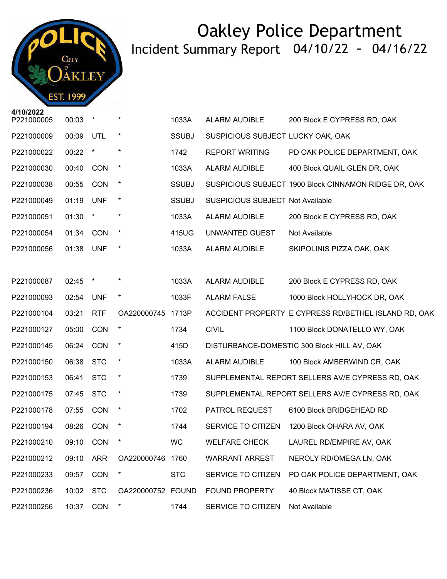

| 47 I VIZUZZ<br>P221000005 | 00:03     | $\star$    | $\ast$            | 1033A        | ALARM AUDIBLE                           | 200 Block E CYPRESS RD, OAK                          |
|---------------------------|-----------|------------|-------------------|--------------|-----------------------------------------|------------------------------------------------------|
| P221000009                | 00:09     | UTL        | $\star$           | <b>SSUBJ</b> | SUSPICIOUS SUBJECT LUCKY OAK, OAK       |                                                      |
| P221000022                | 00:22     | $\star$    | $\star$           | 1742         | REPORT WRITING                          | PD OAK POLICE DEPARTMENT, OAK                        |
| P221000030                | 00:40     | CON        | $\ast$            | 1033A        | ALARM AUDIBLE                           | 400 Block QUAIL GLEN DR, OAK                         |
| P221000038                | 00:55     | CON        | $\star$           | <b>SSUBJ</b> |                                         | SUSPICIOUS SUBJECT 1900 Block CINNAMON RIDGE DR, OAK |
| P221000049                | 01:19     | <b>UNF</b> | $\star$           | <b>SSUBJ</b> | <b>SUSPICIOUS SUBJECT Not Available</b> |                                                      |
| P221000051                | 01:30     | $\star$    | $\star$           | 1033A        | ALARM AUDIBLE                           | 200 Block E CYPRESS RD, OAK                          |
| P221000054                | 01:34 CON |            | $\star$           | 415UG        | UNWANTED GUEST                          | Not Available                                        |
| P221000056                | 01:38     | <b>UNF</b> | $\star$           | 1033A        | ALARM AUDIBLE                           | SKIPOLINIS PIZZA OAK, OAK                            |
|                           |           |            |                   |              |                                         |                                                      |
| P221000087                | 02:45     | $\star$    |                   | 1033A        | ALARM AUDIBLE                           | 200 Block E CYPRESS RD, OAK                          |
| P221000093                | 02:54     | <b>UNF</b> | $\star$           | 1033F        | <b>ALARM FALSE</b>                      | 1000 Block HOLLYHOCK DR, OAK                         |
| P221000104                | 03:21     | <b>RTF</b> | OA220000745 1713P |              |                                         | ACCIDENT PROPERTY E CYPRESS RD/BETHEL ISLAND RD, OAK |
| P221000127                | 05:00     | <b>CON</b> | $\ast$            | 1734         | <b>CIVIL</b>                            | 1100 Block DONATELLO WY, OAK                         |
| P221000145                | 06:24     | CON        | $\star$           | 415D         |                                         | DISTURBANCE-DOMESTIC 300 Block HILL AV, OAK          |
| P221000150                | 06:38     | <b>STC</b> | $\ast$            | 1033A        | <b>ALARM AUDIBLE</b>                    | 100 Block AMBERWIND CR, OAK                          |
| P221000153                | 06:41     | <b>STC</b> | $\ast$            | 1739         |                                         | SUPPLEMENTAL REPORT SELLERS AV/E CYPRESS RD, OAK     |
| P221000175                | 07:45     | <b>STC</b> | $\ast$            | 1739         |                                         | SUPPLEMENTAL REPORT SELLERS AV/E CYPRESS RD, OAK     |
| P221000178                | 07:55     | <b>CON</b> | $\ast$            | 1702         | PATROL REQUEST                          | 6100 Block BRIDGEHEAD RD                             |
| P221000194                | 08:26     | CON        |                   | 1744         |                                         | SERVICE TO CITIZEN 1200 Block OHARA AV, OAK          |
| P221000210 09:10 CON *    |           |            |                   | WC           |                                         | WELFARE CHECK LAUREL RD/EMPIRE AV, OAK               |
| P221000212                | 09:10     | <b>ARR</b> | OA220000746 1760  |              | <b>WARRANT ARREST</b>                   | NEROLY RD/OMEGA LN, OAK                              |
| P221000233                | 09:57     | CON        | $\ast$            | <b>STC</b>   | SERVICE TO CITIZEN                      | PD OAK POLICE DEPARTMENT, OAK                        |
| P221000236                | 10:02     | <b>STC</b> | OA220000752 FOUND |              | FOUND PROPERTY                          | 40 Block MATISSE CT, OAK                             |
| P221000256                | 10:37     | CON        | $\star$           | 1744         | SERVICE TO CITIZEN                      | Not Available                                        |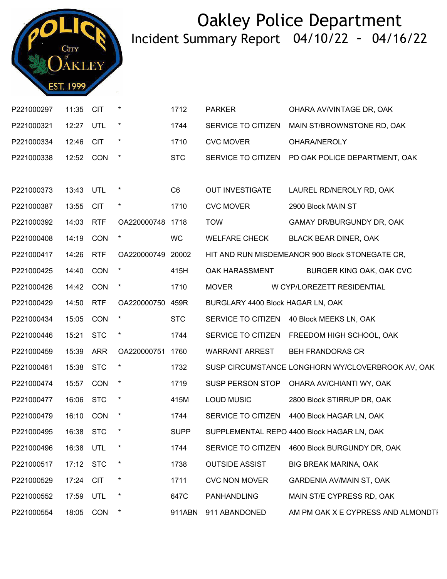

| P221000297             | 11:35     | <b>CIT</b> |                   | 1712           | <b>PARKER</b>                     | OHARA AV/VINTAGE DR, OAK                          |
|------------------------|-----------|------------|-------------------|----------------|-----------------------------------|---------------------------------------------------|
| P221000321             | 12:27 UTL |            | $\star$           | 1744           | SERVICE TO CITIZEN                | MAIN ST/BROWNSTONE RD, OAK                        |
| P221000334             | 12:46     | <b>CIT</b> | $\star$           | 1710           | <b>CVC MOVER</b>                  | OHARA/NEROLY                                      |
| P221000338             | 12:52 CON |            | $\star$           | <b>STC</b>     | SERVICE TO CITIZEN                | PD OAK POLICE DEPARTMENT, OAK                     |
|                        |           |            |                   |                |                                   |                                                   |
| P221000373             | 13:43 UTL |            | $\star$           | C <sub>6</sub> | OUT INVESTIGATE                   | LAUREL RD/NEROLY RD, OAK                          |
| P221000387             | 13:55 CIT |            | $\star$           | 1710           | <b>CVC MOVER</b>                  | 2900 Block MAIN ST                                |
| P221000392             | 14:03 RTF |            | OA220000748 1718  |                | <b>TOW</b>                        | GAMAY DR/BURGUNDY DR, OAK                         |
| P221000408             | 14:19     | CON        | $\star$           | <b>WC</b>      | <b>WELFARE CHECK</b>              | BLACK BEAR DINER, OAK                             |
| P221000417             | 14:26     | <b>RTF</b> | OA220000749 20002 |                |                                   | HIT AND RUN MISDEMEANOR 900 Block STONEGATE CR,   |
| P221000425             | 14:40     | CON        | $\star$           | 415H           | OAK HARASSMENT                    | BURGER KING OAK, OAK CVC                          |
| P221000426             | 14:42     | CON        | $\star$           | 1710           | <b>MOVER</b>                      | W CYP/LOREZETT RESIDENTIAL                        |
| P221000429             | 14:50     | <b>RTF</b> | OA220000750 459R  |                | BURGLARY 4400 Block HAGAR LN, OAK |                                                   |
| P221000434             | 15:05 CON |            | $\star$           | <b>STC</b>     |                                   | SERVICE TO CITIZEN 40 Block MEEKS LN, OAK         |
| P221000446             | 15:21     | <b>STC</b> | $\ast$            | 1744           |                                   | SERVICE TO CITIZEN FREEDOM HIGH SCHOOL, OAK       |
| P221000459             | 15:39     | <b>ARR</b> | OA220000751 1760  |                | <b>WARRANT ARREST</b>             | <b>BEH FRANDORAS CR</b>                           |
| P221000461             | 15:38 STC |            | $\star$           | 1732           |                                   | SUSP CIRCUMSTANCE LONGHORN WY/CLOVERBROOK AV, OAK |
| P221000474             | 15:57     | <b>CON</b> | $\star$           | 1719           | SUSP PERSON STOP                  | OHARA AV/CHIANTI WY, OAK                          |
| P221000477             | 16:06     | <b>STC</b> | $\ast$            | 415M           | <b>LOUD MUSIC</b>                 | 2800 Block STIRRUP DR, OAK                        |
| P221000479             | 16:10 CON |            | $\star$           | 1744           |                                   | SERVICE TO CITIZEN 4400 Block HAGAR LN, OAK       |
| P221000495 16:38 STC * |           |            |                   | <b>SUPP</b>    |                                   | SUPPLEMENTAL REPO 4400 Block HAGAR LN, OAK        |
| P221000496             | 16:38     | UTL        |                   | 1744           | SERVICE TO CITIZEN                | 4600 Block BURGUNDY DR, OAK                       |
| P221000517             | 17:12 STC |            | $\star$           | 1738           | <b>OUTSIDE ASSIST</b>             | <b>BIG BREAK MARINA, OAK</b>                      |
| P221000529             | 17:24     | <b>CIT</b> | $\star$           | 1711           | <b>CVC NON MOVER</b>              | <b>GARDENIA AV/MAIN ST, OAK</b>                   |
| P221000552             | 17:59     | UTL        | *                 | 647C           | PANHANDLING                       | MAIN ST/E CYPRESS RD, OAK                         |
| P221000554             | 18:05     | <b>CON</b> | $\star$           | 911ABN         | 911 ABANDONED                     | AM PM OAK X E CYPRESS AND ALMONDTI                |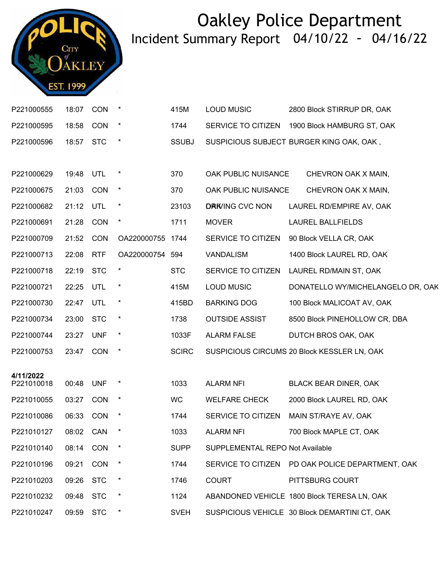

| P221000555 | 18:07     | <b>CON</b> | $\star$          | 415M         | <b>LOUD MUSIC</b>               | 2800 Block STIRRUP DR, OAK                       |
|------------|-----------|------------|------------------|--------------|---------------------------------|--------------------------------------------------|
| P221000595 | 18:58 CON |            | $\star$          | 1744         |                                 | SERVICE TO CITIZEN 1900 Block HAMBURG ST, OAK    |
| P221000596 | 18:57 STC |            | $\star$          | <b>SSUBJ</b> |                                 | SUSPICIOUS SUBJECT BURGER KING OAK, OAK,         |
|            |           |            |                  |              |                                 |                                                  |
| P221000629 | 19:48     | UTL        |                  | 370          | OAK PUBLIC NUISANCE             | CHEVRON OAK X MAIN,                              |
| P221000675 | 21:03 CON |            | $\star$          | 370          | OAK PUBLIC NUISANCE             | CHEVRON OAK X MAIN,                              |
| P221000682 | 21:12     | UTL        | $\star$          | 23103        | <b>DRK/ING CVC NON</b>          | LAUREL RD/EMPIRE AV, OAK                         |
| P221000691 | 21:28 CON |            | $\star$          | 1711         | <b>MOVER</b>                    | <b>LAUREL BALLFIELDS</b>                         |
| P221000709 | 21:52 CON |            | OA220000755 1744 |              | SERVICE TO CITIZEN              | 90 Block VELLA CR, OAK                           |
| P221000713 | 22:08     | <b>RTF</b> | OA220000754 594  |              | VANDALISM                       | 1400 Block LAUREL RD, OAK                        |
| P221000718 | 22:19     | <b>STC</b> | $\ast$           | <b>STC</b>   | SERVICE TO CITIZEN              | LAUREL RD/MAIN ST, OAK                           |
| P221000721 | 22:25     | UTL        | $\ast$           | 415M         | <b>LOUD MUSIC</b>               | DONATELLO WY/MICHELANGELO DR, OAK                |
| P221000730 | 22:47     | UTL        | $\star$          | 415BD        | <b>BARKING DOG</b>              | 100 Block MALICOAT AV, OAK                       |
| P221000734 | 23:00     | <b>STC</b> | $\star$          | 1738         | <b>OUTSIDE ASSIST</b>           | 8500 Block PINEHOLLOW CR, DBA                    |
| P221000744 | 23:27 UNF |            | $\star$          | 1033F        | <b>ALARM FALSE</b>              | DUTCH BROS OAK, OAK                              |
| P221000753 | 23:47 CON |            | $\star$          | <b>SCIRC</b> |                                 | SUSPICIOUS CIRCUMS 20 Block KESSLER LN, OAK      |
| 4/11/2022  |           |            |                  |              |                                 |                                                  |
| P221010018 | 00:48     | <b>UNF</b> | $\star$          | 1033         | <b>ALARM NFI</b>                | <b>BLACK BEAR DINER, OAK</b>                     |
| P221010055 | 03:27     | <b>CON</b> | $\star$          | WC           | <b>WELFARE CHECK</b>            | 2000 Block LAUREL RD, OAK                        |
| P221010086 | 06:33     | <b>CON</b> |                  | 1744         | SERVICE TO CITIZEN              | MAIN ST/RAYE AV, OAK                             |
| P221010127 | 08:02 CAN |            |                  | 1033         | <b>ALARM NFI</b>                | 700 Block MAPLE CT, OAK                          |
| P221010140 | 08:14     | CON        |                  | <b>SUPP</b>  | SUPPLEMENTAL REPO Not Available |                                                  |
| P221010196 | 09:21     | <b>CON</b> | $\ast$           | 1744         |                                 | SERVICE TO CITIZEN PD OAK POLICE DEPARTMENT, OAK |
| P221010203 | 09:26     | <b>STC</b> | $\ast$           | 1746         | <b>COURT</b>                    | PITTSBURG COURT                                  |
| P221010232 | 09:48     | <b>STC</b> | $\ast$           | 1124         |                                 | ABANDONED VEHICLE 1800 Block TERESA LN, OAK      |
| P221010247 | 09:59     | <b>STC</b> | $\ast$           | <b>SVEH</b>  |                                 | SUSPICIOUS VEHICLE 30 Block DEMARTINI CT, OAK    |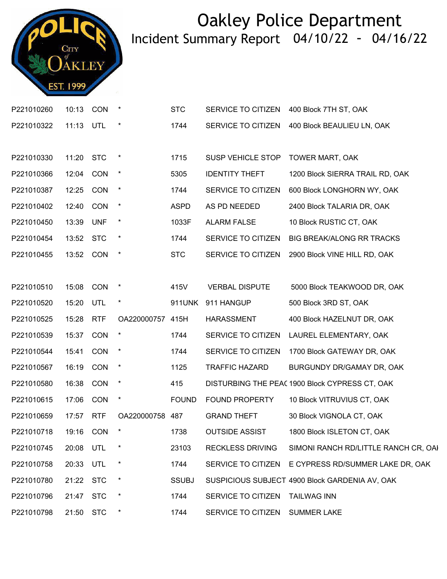

| P221010260             | 10:13 CON |            |                  | <b>STC</b>   | SERVICE TO CITIZEN      | 400 Block 7TH ST, OAK                               |
|------------------------|-----------|------------|------------------|--------------|-------------------------|-----------------------------------------------------|
| P221010322             | 11:13 UTL |            | $\star$          | 1744         | SERVICE TO CITIZEN      | 400 Block BEAULIEU LN, OAK                          |
|                        |           |            |                  |              |                         |                                                     |
| P221010330             | 11:20     | <b>STC</b> |                  | 1715         | SUSP VEHICLE STOP       | TOWER MART, OAK                                     |
| P221010366             | 12:04     | CON        |                  | 5305         | <b>IDENTITY THEFT</b>   | 1200 Block SIERRA TRAIL RD, OAK                     |
| P221010387             | 12:25     | CON        | $\star$          | 1744         | SERVICE TO CITIZEN      | 600 Block LONGHORN WY, OAK                          |
| P221010402             | 12:40     | CON        | $\star$          | <b>ASPD</b>  | AS PD NEEDED            | 2400 Block TALARIA DR, OAK                          |
| P221010450             | 13:39 UNF |            | $\star$          | 1033F        | <b>ALARM FALSE</b>      | 10 Block RUSTIC CT, OAK                             |
| P221010454             | 13:52     | <b>STC</b> | $\star$          | 1744         | SERVICE TO CITIZEN      | BIG BREAK/ALONG RR TRACKS                           |
| P221010455             | 13:52     | <b>CON</b> | $\ast$           | <b>STC</b>   | SERVICE TO CITIZEN      | 2900 Block VINE HILL RD, OAK                        |
|                        |           |            |                  |              |                         |                                                     |
| P221010510             | 15:08 CON |            | $\star$          | 415V         | <b>VERBAL DISPUTE</b>   | 5000 Block TEAKWOOD DR, OAK                         |
| P221010520             | 15:20     | UTL        | $\star$          | 911UNK       | 911 HANGUP              | 500 Block 3RD ST, OAK                               |
| P221010525             | 15:28 RTF |            | OA220000757 415H |              | <b>HARASSMENT</b>       | 400 Block HAZELNUT DR, OAK                          |
| P221010539             | 15:37 CON |            |                  | 1744         | SERVICE TO CITIZEN      | LAUREL ELEMENTARY, OAK                              |
| P221010544             | 15:41     | CON        |                  | 1744         | SERVICE TO CITIZEN      | 1700 Block GATEWAY DR, OAK                          |
| P221010567             | 16:19 CON |            | $\star$          | 1125         | <b>TRAFFIC HAZARD</b>   | BURGUNDY DR/GAMAY DR, OAK                           |
| P221010580             | 16:38     | CON        | $\star$          | 415          |                         | DISTURBING THE PEAC 1900 Block CYPRESS CT, OAK      |
| P221010615             | 17:06     | CON        | $\star$          | <b>FOUND</b> | FOUND PROPERTY          | 10 Block VITRUVIUS CT, OAK                          |
| P221010659             | 17:57     | <b>RTF</b> | OA220000758 487  |              | <b>GRAND THEFT</b>      | 30 Block VIGNOLA CT, OAK                            |
| P221010718 19:16 CON * |           |            |                  | 1738         | <b>OUTSIDE ASSIST</b>   | 1800 Block ISLETON CT, OAK                          |
| P221010745             | 20:08     | UTL        |                  | 23103        | <b>RECKLESS DRIVING</b> | SIMONI RANCH RD/LITTLE RANCH CR, OAI                |
| P221010758             | 20:33 UTL |            |                  | 1744         |                         | SERVICE TO CITIZEN E CYPRESS RD/SUMMER LAKE DR, OAK |
| P221010780             | 21:22     | <b>STC</b> |                  | <b>SSUBJ</b> |                         | SUSPICIOUS SUBJECT 4900 Block GARDENIA AV, OAK      |
| P221010796             | 21:47     | <b>STC</b> |                  | 1744         | SERVICE TO CITIZEN      | <b>TAILWAG INN</b>                                  |
| P221010798             | 21:50     | <b>STC</b> | $\ast$           | 1744         | SERVICE TO CITIZEN      | <b>SUMMER LAKE</b>                                  |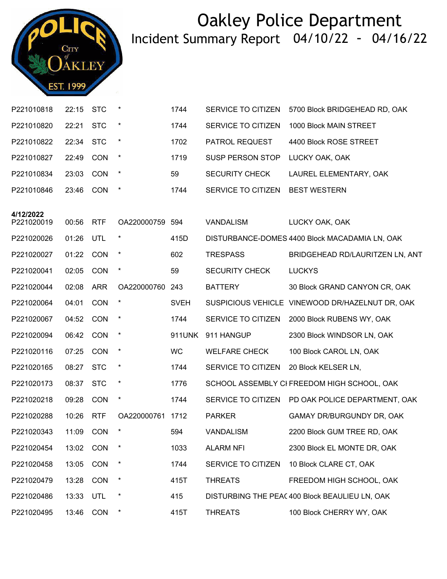

| P221010818              | 22:15 | <b>STC</b> | $\ast$      | 1744        | SERVICE TO CITIZEN      | 5700 Block BRIDGEHEAD RD, OAK                   |
|-------------------------|-------|------------|-------------|-------------|-------------------------|-------------------------------------------------|
| P221010820              | 22:21 | <b>STC</b> | $\star$     | 1744        | SERVICE TO CITIZEN      | 1000 Block MAIN STREET                          |
| P221010822              | 22:34 | <b>STC</b> | $\star$     | 1702        | PATROL REQUEST          | 4400 Block ROSE STREET                          |
| P221010827              | 22:49 | <b>CON</b> | $\star$     | 1719        | <b>SUSP PERSON STOP</b> | LUCKY OAK, OAK                                  |
| P221010834              | 23:03 | <b>CON</b> | $\star$     | 59          | <b>SECURITY CHECK</b>   | LAUREL ELEMENTARY, OAK                          |
| P221010846              | 23:46 | <b>CON</b> | $\star$     | 1744        | SERVICE TO CITIZEN      | <b>BEST WESTERN</b>                             |
|                         |       |            |             |             |                         |                                                 |
| 4/12/2022<br>P221020019 | 00:56 | <b>RTF</b> | OA220000759 | 594         | <b>VANDALISM</b>        | LUCKY OAK, OAK                                  |
| P221020026              | 01:26 | UTL        | $\star$     | 415D        |                         | DISTURBANCE-DOMES 4400 Block MACADAMIA LN, OAK  |
| P221020027              | 01:22 | <b>CON</b> | $\ast$      | 602         | <b>TRESPASS</b>         | BRIDGEHEAD RD/LAURITZEN LN, ANT                 |
| P221020041              | 02:05 | <b>CON</b> | $\star$     | 59          | <b>SECURITY CHECK</b>   | <b>LUCKYS</b>                                   |
| P221020044              | 02:08 | <b>ARR</b> | OA220000760 | 243         | <b>BATTERY</b>          | 30 Block GRAND CANYON CR, OAK                   |
| P221020064              | 04:01 | <b>CON</b> | $\ast$      | <b>SVEH</b> |                         | SUSPICIOUS VEHICLE VINEWOOD DR/HAZELNUT DR, OAK |
| P221020067              | 04:52 | <b>CON</b> | $\ast$      | 1744        | SERVICE TO CITIZEN      | 2000 Block RUBENS WY, OAK                       |
| P221020094              | 06:42 | <b>CON</b> | $\star$     | 911UNK      | 911 HANGUP              | 2300 Block WINDSOR LN, OAK                      |
| P221020116              | 07:25 | <b>CON</b> | $\ast$      | <b>WC</b>   | <b>WELFARE CHECK</b>    | 100 Block CAROL LN, OAK                         |
| P221020165              | 08:27 | <b>STC</b> | $\star$     | 1744        | SERVICE TO CITIZEN      | 20 Block KELSER LN,                             |
| P221020173              | 08:37 | <b>STC</b> | $\star$     | 1776        |                         | SCHOOL ASSEMBLY CI FREEDOM HIGH SCHOOL, OAK     |
| P221020218              | 09:28 | <b>CON</b> | $\star$     | 1744        | SERVICE TO CITIZEN      | PD OAK POLICE DEPARTMENT, OAK                   |
| P221020288              | 10:26 | <b>RTF</b> | OA220000761 | 1712        | <b>PARKER</b>           | GAMAY DR/BURGUNDY DR, OAK                       |
| P221020343              | 11:09 | <b>CON</b> | $\star$     | 594         | <b>VANDALISM</b>        | 2200 Block GUM TREE RD, OAK                     |
| P221020454              | 13:02 | <b>CON</b> |             | 1033        | <b>ALARM NFI</b>        | 2300 Block EL MONTE DR, OAK                     |
| P221020458              | 13:05 | CON        | $\ast$      | 1744        | SERVICE TO CITIZEN      | 10 Block CLARE CT, OAK                          |
| P221020479              | 13:28 | CON        | $\ast$      | 415T        | <b>THREATS</b>          | FREEDOM HIGH SCHOOL, OAK                        |
| P221020486              | 13:33 | UTL        | $\ast$      | 415         |                         | DISTURBING THE PEA(400 Block BEAULIEU LN, OAK   |
| P221020495              | 13:46 | CON        | $\star$     | 415T        | <b>THREATS</b>          | 100 Block CHERRY WY, OAK                        |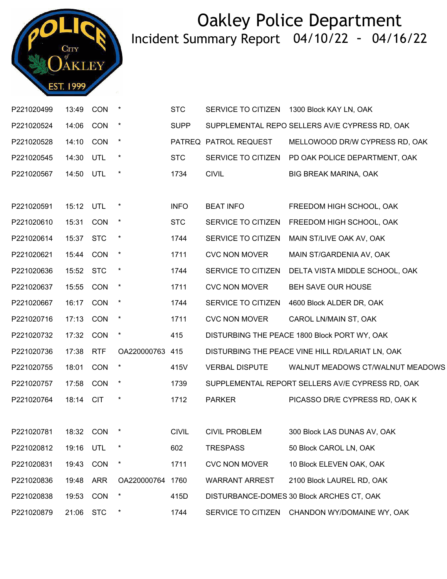

| P221020499 | 13:49     | <b>CON</b> | $\ast$          | <b>STC</b>   | SERVICE TO CITIZEN    | 1300 Block KAY LN, OAK                           |
|------------|-----------|------------|-----------------|--------------|-----------------------|--------------------------------------------------|
| P221020524 | 14:06     | <b>CON</b> | $\star$         | <b>SUPP</b>  |                       | SUPPLEMENTAL REPO SELLERS AV/E CYPRESS RD, OAK   |
| P221020528 | 14:10     | CON        | $\star$         |              | PATREQ PATROL REQUEST | MELLOWOOD DR/W CYPRESS RD, OAK                   |
| P221020545 | 14:30     | UTL        | $\ast$          | <b>STC</b>   | SERVICE TO CITIZEN    | PD OAK POLICE DEPARTMENT, OAK                    |
| P221020567 | 14:50     | UTL        | $\star$         | 1734         | <b>CIVIL</b>          | <b>BIG BREAK MARINA, OAK</b>                     |
|            |           |            |                 |              |                       |                                                  |
| P221020591 | 15:12     | UTL        | $\ast$          | <b>INFO</b>  | <b>BEAT INFO</b>      | FREEDOM HIGH SCHOOL, OAK                         |
| P221020610 | 15:31     | CON        | $\ast$          | <b>STC</b>   | SERVICE TO CITIZEN    | FREEDOM HIGH SCHOOL, OAK                         |
| P221020614 | 15:37     | <b>STC</b> | $\star$         | 1744         | SERVICE TO CITIZEN    | MAIN ST/LIVE OAK AV, OAK                         |
| P221020621 | 15:44     | <b>CON</b> | $\ast$          | 1711         | <b>CVC NON MOVER</b>  | MAIN ST/GARDENIA AV, OAK                         |
| P221020636 | 15:52     | <b>STC</b> | $\ast$          | 1744         | SERVICE TO CITIZEN    | DELTA VISTA MIDDLE SCHOOL, OAK                   |
| P221020637 | 15:55     | <b>CON</b> | $\star$         | 1711         | <b>CVC NON MOVER</b>  | BEH SAVE OUR HOUSE                               |
| P221020667 | 16:17     | <b>CON</b> | $\ast$          | 1744         | SERVICE TO CITIZEN    | 4600 Block ALDER DR, OAK                         |
| P221020716 | 17:13     | CON        | $\ast$          | 1711         | <b>CVC NON MOVER</b>  | CAROL LN/MAIN ST, OAK                            |
| P221020732 | 17:32     | <b>CON</b> | $\star$         | 415          |                       | DISTURBING THE PEACE 1800 Block PORT WY, OAK     |
| P221020736 | 17:38     | <b>RTF</b> | OA220000763 415 |              |                       | DISTURBING THE PEACE VINE HILL RD/LARIAT LN, OAK |
| P221020755 | 18:01     | CON        | $\star$         | 415V         | <b>VERBAL DISPUTE</b> | WALNUT MEADOWS CT/WALNUT MEADOWS                 |
| P221020757 | 17:58     | <b>CON</b> | $\star$         | 1739         |                       | SUPPLEMENTAL REPORT SELLERS AV/E CYPRESS RD, OAK |
| P221020764 | 18:14     | <b>CIT</b> | $\ast$          | 1712         | <b>PARKER</b>         | PICASSO DR/E CYPRESS RD, OAK K                   |
|            |           |            |                 |              |                       |                                                  |
| P221020781 | 18:32 CON |            |                 | <b>CIVIL</b> | <b>CIVIL PROBLEM</b>  | 300 Block LAS DUNAS AV, OAK                      |
| P221020812 | 19:16     | UTL        |                 | 602          | <b>TRESPASS</b>       | 50 Block CAROL LN, OAK                           |
| P221020831 | 19:43     | CON        | $\ast$          | 1711         | <b>CVC NON MOVER</b>  | 10 Block ELEVEN OAK, OAK                         |
| P221020836 | 19:48     | <b>ARR</b> | OA220000764     | 1760         | <b>WARRANT ARREST</b> | 2100 Block LAUREL RD, OAK                        |
| P221020838 | 19:53     | <b>CON</b> |                 | 415D         |                       | DISTURBANCE-DOMES 30 Block ARCHES CT, OAK        |
| P221020879 | 21:06 STC |            |                 | 1744         |                       | SERVICE TO CITIZEN CHANDON WY/DOMAINE WY, OAK    |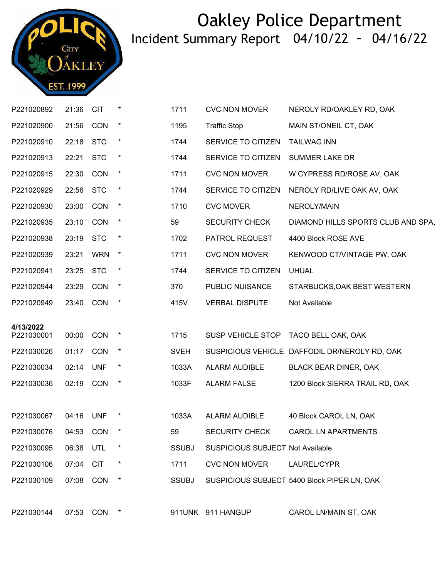

| P221020892 | 21:36     | <b>CIT</b>  | $\star$ | 1711         | <b>CVC NON MOVER</b>                    | NEROLY RD/OAKLEY RD, OAK                      |
|------------|-----------|-------------|---------|--------------|-----------------------------------------|-----------------------------------------------|
| P221020900 | 21:56     | <b>CON</b>  | $\ast$  | 1195         | <b>Traffic Stop</b>                     | MAIN ST/ONEIL CT, OAK                         |
| P221020910 | 22:18     | <b>STC</b>  | $\star$ | 1744         | SERVICE TO CITIZEN                      | <b>TAILWAG INN</b>                            |
| P221020913 | 22:21     | <b>STC</b>  | $\ast$  | 1744         | SERVICE TO CITIZEN                      | <b>SUMMER LAKE DR</b>                         |
| P221020915 | 22:30 CON |             | $\ast$  | 1711         | <b>CVC NON MOVER</b>                    | W CYPRESS RD/ROSE AV, OAK                     |
| P221020929 | 22:56     | <b>STC</b>  | $\star$ | 1744         | SERVICE TO CITIZEN                      | NEROLY RD/LIVE OAK AV, OAK                    |
| P221020930 | 23:00     | CON         | $\star$ | 1710         | <b>CVC MOVER</b>                        | NEROLY/MAIN                                   |
| P221020935 | 23:10     | <b>CON</b>  | $\star$ | 59           | <b>SECURITY CHECK</b>                   | DIAMOND HILLS SPORTS CLUB AND SPA,            |
| P221020938 | 23:19     | <b>STC</b>  | $\ast$  | 1702         | PATROL REQUEST                          | 4400 Block ROSE AVE                           |
| P221020939 | 23:21     | <b>WRN</b>  | $\star$ | 1711         | <b>CVC NON MOVER</b>                    | KENWOOD CT/VINTAGE PW, OAK                    |
| P221020941 | 23:25     | <b>STC</b>  | $\ast$  | 1744         | SERVICE TO CITIZEN                      | <b>UHUAL</b>                                  |
| P221020944 | 23:29     | CON         | $\star$ | 370          | PUBLIC NUISANCE                         | STARBUCKS, OAK BEST WESTERN                   |
| P221020949 | 23:40     | <b>CON</b>  | $\ast$  | 415V         | <b>VERBAL DISPUTE</b>                   | Not Available                                 |
| 4/13/2022  |           |             |         |              |                                         |                                               |
| P221030001 | 00:00     | CON         | $\star$ | 1715         | SUSP VEHICLE STOP                       | TACO BELL OAK, OAK                            |
| P221030026 | 01:17     | <b>CON</b>  | $\star$ | <b>SVEH</b>  |                                         | SUSPICIOUS VEHICLE DAFFODIL DR/NEROLY RD, OAK |
| P221030034 | 02:14     | <b>UNF</b>  | $\ast$  | 1033A        | ALARM AUDIBLE                           | BLACK BEAR DINER, OAK                         |
| P221030036 | 02:19 CON |             | $\star$ | 1033F        | <b>ALARM FALSE</b>                      | 1200 Block SIERRA TRAIL RD, OAK               |
|            |           |             |         |              |                                         |                                               |
| P221030067 | 04:16     | <b>UNF</b>  |         | 1033A        | ALARM AUDIBLE                           | 40 Block CAROL LN, OAK                        |
| P221030076 | 04:53     | CON         |         | 59           | <b>SECURITY CHECK</b>                   | <b>CAROL LN APARTMENTS</b>                    |
| P221030095 | 06:38     | UTL         |         | <b>SSUBJ</b> | <b>SUSPICIOUS SUBJECT Not Available</b> |                                               |
| P221030106 | 07:04     | <b>CIT</b>  | $\ast$  | 1711         | <b>CVC NON MOVER</b>                    | LAUREL/CYPR                                   |
| P221030109 | 07:08     | CON         | $\star$ | <b>SSUBJ</b> |                                         | SUSPICIOUS SUBJECT 5400 Block PIPER LN, OAK   |
|            |           |             |         |              |                                         |                                               |
| P221030144 |           | 07:53 CON * |         |              | 911UNK 911 HANGUP                       | CAROL LN/MAIN ST, OAK                         |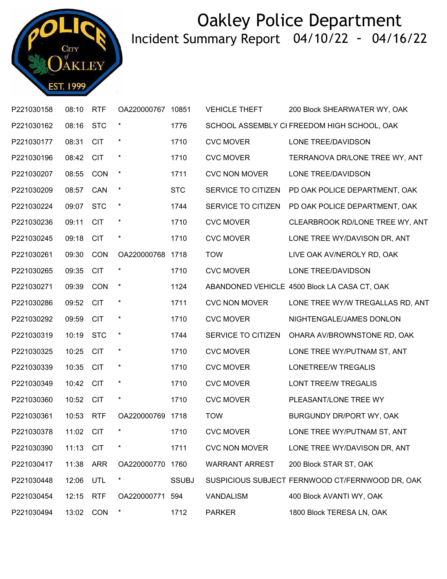

| P221030158 | 08:10     | <b>RTF</b> | OA220000767 10851 |              | <b>VEHICLE THEFT</b>  | 200 Block SHEARWATER WY, OAK                    |
|------------|-----------|------------|-------------------|--------------|-----------------------|-------------------------------------------------|
| P221030162 | 08:16     | <b>STC</b> | $\ast$            | 1776         |                       | SCHOOL ASSEMBLY CI FREEDOM HIGH SCHOOL, OAK     |
| P221030177 | 08:31     | <b>CIT</b> | $\star$           | 1710         | <b>CVC MOVER</b>      | LONE TREE/DAVIDSON                              |
| P221030196 | 08:42     | <b>CIT</b> | $\ast$            | 1710         | <b>CVC MOVER</b>      | TERRANOVA DR/LONE TREE WY, ANT                  |
| P221030207 | 08:55     | <b>CON</b> | $\ast$            | 1711         | <b>CVC NON MOVER</b>  | LONE TREE/DAVIDSON                              |
| P221030209 | 08:57     | CAN        | $\ast$            | <b>STC</b>   | SERVICE TO CITIZEN    | PD OAK POLICE DEPARTMENT, OAK                   |
| P221030224 | 09:07     | <b>STC</b> | $\star$           | 1744         | SERVICE TO CITIZEN    | PD OAK POLICE DEPARTMENT, OAK                   |
| P221030236 | 09:11     | <b>CIT</b> | $\ast$            | 1710         | <b>CVC MOVER</b>      | CLEARBROOK RD/LONE TREE WY, ANT                 |
| P221030245 | 09:18     | <b>CIT</b> | $\star$           | 1710         | <b>CVC MOVER</b>      | LONE TREE WY/DAVISON DR, ANT                    |
| P221030261 | 09:30     | CON        | OA220000768       | 1718         | <b>TOW</b>            | LIVE OAK AV/NEROLY RD, OAK                      |
| P221030265 | 09:35     | <b>CIT</b> | $\star$           | 1710         | <b>CVC MOVER</b>      | LONE TREE/DAVIDSON                              |
| P221030271 | 09:39     | CON        | $\star$           | 1124         |                       | ABANDONED VEHICLE 4500 Block LA CASA CT, OAK    |
| P221030286 | 09:52     | <b>CIT</b> | $\ast$            | 1711         | <b>CVC NON MOVER</b>  | LONE TREE WY/W TREGALLAS RD, ANT                |
| P221030292 | 09:59     | <b>CIT</b> | $\star$           | 1710         | <b>CVC MOVER</b>      | NIGHTENGALE/JAMES DONLON                        |
| P221030319 | 10:19     | <b>STC</b> | $\ast$            | 1744         | SERVICE TO CITIZEN    | OHARA AV/BROWNSTONE RD, OAK                     |
| P221030325 | 10:25     | <b>CIT</b> | $\star$           | 1710         | <b>CVC MOVER</b>      | LONE TREE WY/PUTNAM ST, ANT                     |
| P221030339 | 10:35     | <b>CIT</b> | $\ast$            | 1710         | <b>CVC MOVER</b>      | <b>LONETREE/W TREGALIS</b>                      |
| P221030349 | 10:42     | <b>CIT</b> | $\ast$            | 1710         | <b>CVC MOVER</b>      | <b>LONT TREE/W TREGALIS</b>                     |
| P221030360 | 10:52     | <b>CIT</b> | $\ast$            | 1710         | <b>CVC MOVER</b>      | PLEASANT/LONE TREE WY                           |
| P221030361 | 10:53     | <b>RTF</b> | OA220000769 1718  |              | <b>TOW</b>            | BURGUNDY DR/PORT WY, OAK                        |
| P221030378 | 11:02 CIT |            | $\ast$            | 1710         | <b>CVC MOVER</b>      | LONE TREE WY/PUTNAM ST, ANT                     |
| P221030390 | 11:13     | <b>CIT</b> | $\star$           | 1711         | <b>CVC NON MOVER</b>  | LONE TREE WY/DAVISON DR, ANT                    |
| P221030417 | 11:38     | <b>ARR</b> | OA220000770       | 1760         | <b>WARRANT ARREST</b> | 200 Block STAR ST, OAK                          |
| P221030448 | 12:06     | UTL        | $\ast$            | <b>SSUBJ</b> |                       | SUSPICIOUS SUBJECT FERNWOOD CT/FERNWOOD DR, OAK |
| P221030454 | 12:15     | <b>RTF</b> | OA220000771       | 594          | <b>VANDALISM</b>      | 400 Block AVANTI WY, OAK                        |
| P221030494 | 13:02     | <b>CON</b> | $\star$           | 1712         | <b>PARKER</b>         | 1800 Block TERESA LN, OAK                       |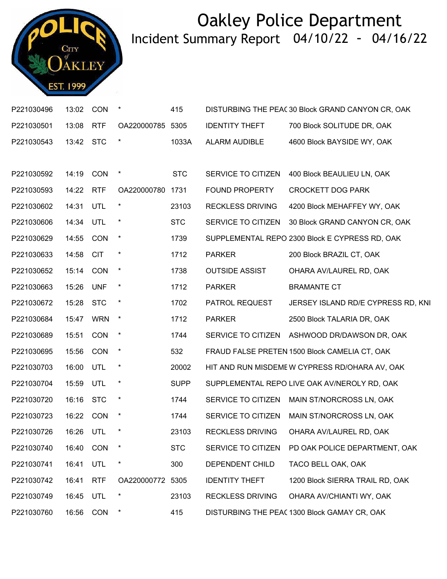

| P221030496           | 13:02     | CON        | $\star$          | 415         |                         | DISTURBING THE PEAC 30 Block GRAND CANYON CR, OAK |
|----------------------|-----------|------------|------------------|-------------|-------------------------|---------------------------------------------------|
| P221030501           | 13:08     | <b>RTF</b> | OA220000785 5305 |             | <b>IDENTITY THEFT</b>   | 700 Block SOLITUDE DR, OAK                        |
| P221030543           | 13:42 STC |            | $\star$          | 1033A       | ALARM AUDIBLE           | 4600 Block BAYSIDE WY, OAK                        |
|                      |           |            |                  |             |                         |                                                   |
| P221030592           | 14:19     | <b>CON</b> | $\star$          | <b>STC</b>  | SERVICE TO CITIZEN      | 400 Block BEAULIEU LN, OAK                        |
| P221030593           | 14:22     | <b>RTF</b> | OA220000780 1731 |             | <b>FOUND PROPERTY</b>   | <b>CROCKETT DOG PARK</b>                          |
| P221030602           | 14:31     | UTL        |                  | 23103       | <b>RECKLESS DRIVING</b> | 4200 Block MEHAFFEY WY, OAK                       |
| P221030606           | 14:34 UTL |            | $\star$          | <b>STC</b>  | SERVICE TO CITIZEN      | 30 Block GRAND CANYON CR, OAK                     |
| P221030629           | 14:55     | CON        | $\star$          | 1739        |                         | SUPPLEMENTAL REPO 2300 Block E CYPRESS RD, OAK    |
| P221030633           | 14:58     | <b>CIT</b> |                  | 1712        | <b>PARKER</b>           | 200 Block BRAZIL CT, OAK                          |
| P221030652           | 15:14     | CON        | $\star$          | 1738        | <b>OUTSIDE ASSIST</b>   | OHARA AV/LAUREL RD, OAK                           |
| P221030663           | 15:26     | <b>UNF</b> | $\star$          | 1712        | <b>PARKER</b>           | <b>BRAMANTE CT</b>                                |
| P221030672           | 15:28     | <b>STC</b> |                  | 1702        | PATROL REQUEST          | JERSEY ISLAND RD/E CYPRESS RD, KNI                |
| P221030684           | 15:47     | <b>WRN</b> | $\star$          | 1712        | <b>PARKER</b>           | 2500 Block TALARIA DR, OAK                        |
| P221030689           | 15:51     | CON        | $\star$          | 1744        | SERVICE TO CITIZEN      | ASHWOOD DR/DAWSON DR, OAK                         |
| P221030695           | 15:56     | <b>CON</b> | $\ast$           | 532         |                         | FRAUD FALSE PRETEN 1500 Block CAMELIA CT, OAK     |
| P221030703           | 16:00     | UTL        | $\ast$           | 20002       |                         | HIT AND RUN MISDEME W CYPRESS RD/OHARA AV, OAK    |
| P221030704           | 15:59     | UTL        | $\star$          | <b>SUPP</b> |                         | SUPPLEMENTAL REPO LIVE OAK AV/NEROLY RD, OAK      |
| P221030720           | 16:16     | <b>STC</b> | $\star$          | 1744        | SERVICE TO CITIZEN      | MAIN ST/NORCROSS LN, OAK                          |
| P221030723           | 16:22 CON |            |                  | 1744        | SERVICE TO CITIZEN      | MAIN ST/NORCROSS LN, OAK                          |
| P221030726 16:26 UTL |           |            |                  | 23103       |                         | RECKLESS DRIVING  OHARA AV/LAUREL RD, OAK         |
| P221030740           | 16:40     | CON        |                  | <b>STC</b>  | SERVICE TO CITIZEN      | PD OAK POLICE DEPARTMENT, OAK                     |
| P221030741           | 16:41     | UTL        | $\star$          | 300         | DEPENDENT CHILD         | TACO BELL OAK, OAK                                |
| P221030742           | 16:41     | <b>RTF</b> | OA220000772 5305 |             | <b>IDENTITY THEFT</b>   | 1200 Block SIERRA TRAIL RD, OAK                   |
| P221030749           | 16:45     | UTL        |                  | 23103       | <b>RECKLESS DRIVING</b> | OHARA AV/CHIANTI WY, OAK                          |
| P221030760           | 16:56     | CON        | $\ast$           | 415         |                         | DISTURBING THE PEAC 1300 Block GAMAY CR, OAK      |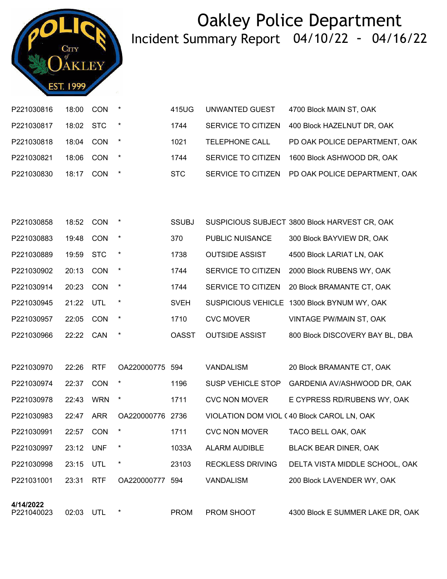

| P221030816 | 18:00     | <b>CON</b> | $\star$ | 415UG | UNWANTED GUEST        | 4700 Block MAIN ST, OAK                          |
|------------|-----------|------------|---------|-------|-----------------------|--------------------------------------------------|
| P221030817 | 18:02 STC |            |         | 1744  | SERVICE TO CITIZEN    | 400 Block HAZELNUT DR, OAK                       |
| P221030818 | 18:04     | CON        |         | 1021  | <b>TELEPHONE CALL</b> | PD OAK POLICE DEPARTMENT, OAK                    |
| P221030821 | 18:06     | CON        | $\star$ | 1744  |                       | SERVICE TO CITIZEN 1600 Block ASHWOOD DR, OAK    |
| P221030830 | 18:17     | CON        | $\star$ | STC.  |                       | SERVICE TO CITIZEN PD OAK POLICE DEPARTMENT, OAK |

| P221030858 | 18:52 | <b>CON</b> | $\ast$  | <b>SSUBJ</b> |                        | SUSPICIOUS SUBJECT 3800 Block HARVEST CR, OAK |
|------------|-------|------------|---------|--------------|------------------------|-----------------------------------------------|
| P221030883 | 19:48 | <b>CON</b> | $\ast$  | 370          | <b>PUBLIC NUISANCE</b> | 300 Block BAYVIEW DR, OAK                     |
| P221030889 | 19:59 | <b>STC</b> | $\ast$  | 1738         | <b>OUTSIDE ASSIST</b>  | 4500 Block LARIAT LN, OAK                     |
| P221030902 | 20:13 | <b>CON</b> | $\star$ | 1744         | SERVICE TO CITIZEN     | 2000 Block RUBENS WY, OAK                     |
| P221030914 | 20:23 | <b>CON</b> | $\ast$  | 1744         | SERVICE TO CITIZEN     | 20 Block BRAMANTE CT, OAK                     |
| P221030945 | 21:22 | UTL        | $\star$ | <b>SVEH</b>  |                        | SUSPICIOUS VEHICLE 1300 Block BYNUM WY, OAK   |
| P221030957 | 22:05 | <b>CON</b> | $\ast$  | 1710         | <b>CVC MOVER</b>       | VINTAGE PW/MAIN ST, OAK                       |
| P221030966 | 22:22 | CAN        | $\star$ | <b>OASST</b> | <b>OUTSIDE ASSIST</b>  | 800 Block DISCOVERY BAY BL, DBA               |

| A/1A/2022  |       |            |                  |       |                         |                                            |
|------------|-------|------------|------------------|-------|-------------------------|--------------------------------------------|
| P221031001 | 23:31 | <b>RTF</b> | OA220000777      | 594   | <b>VANDALISM</b>        | 200 Block LAVENDER WY, OAK                 |
| P221030998 | 23:15 | <b>UTL</b> | $\ast$           | 23103 | <b>RECKLESS DRIVING</b> | DELTA VISTA MIDDLE SCHOOL, OAK             |
| P221030997 | 23:12 | <b>UNF</b> | $\star$          | 1033A | ALARM AUDIBLE           | <b>BLACK BEAR DINER, OAK</b>               |
| P221030991 | 22:57 | <b>CON</b> | $\ast$           | 1711  | <b>CVC NON MOVER</b>    | TACO BELL OAK, OAK                         |
| P221030983 | 22:47 | <b>ARR</b> | OA220000776 2736 |       |                         | VIOLATION DOM VIOL (40 Block CAROL LN, OAK |
| P221030978 | 22:43 | <b>WRN</b> | $\ast$           | 1711  | <b>CVC NON MOVER</b>    | E CYPRESS RD/RUBENS WY, OAK                |
| P221030974 | 22:37 | <b>CON</b> | $\ast$           | 1196  | SUSP VEHICLE STOP       | GARDENIA AV/ASHWOOD DR, OAK                |
| P221030970 | 22:26 | <b>RTF</b> | OA220000775 594  |       | <b>VANDALISM</b>        | 20 Block BRAMANTE CT, OAK                  |

P221040023

02:03 UTL \* PROM PROM SHOOT 4300 Block E SUMMER LAKE DR, OAK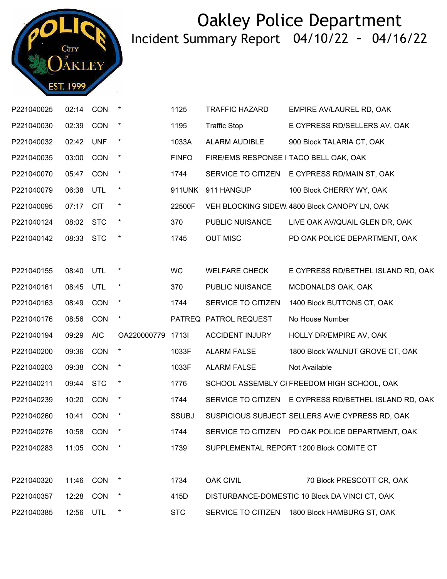

| P221040025 | 02:14 CON |            | $\ast$      | 1125          | <b>TRAFFIC HAZARD</b>  | EMPIRE AV/LAUREL RD, OAK                              |
|------------|-----------|------------|-------------|---------------|------------------------|-------------------------------------------------------|
| P221040030 | 02:39     | CON        | $\star$     | 1195          | <b>Traffic Stop</b>    | E CYPRESS RD/SELLERS AV, OAK                          |
| P221040032 | 02:42     | <b>UNF</b> | $\ast$      | 1033A         | <b>ALARM AUDIBLE</b>   | 900 Block TALARIA CT, OAK                             |
| P221040035 | 03:00     | CON        | $\ast$      | <b>FINFO</b>  |                        | FIRE/EMS RESPONSE I TACO BELL OAK, OAK                |
| P221040070 | 05:47     | <b>CON</b> | $\star$     | 1744          | SERVICE TO CITIZEN     | E CYPRESS RD/MAIN ST, OAK                             |
| P221040079 | 06:38     | UTL        | $\ast$      | <b>911UNK</b> | 911 HANGUP             | 100 Block CHERRY WY, OAK                              |
| P221040095 | 07:17 CIT |            | $\ast$      | 22500F        |                        | VEH BLOCKING SIDEW 4800 Block CANOPY LN, OAK          |
| P221040124 | 08:02     | <b>STC</b> | $\star$     | 370           | PUBLIC NUISANCE        | LIVE OAK AV/QUAIL GLEN DR, OAK                        |
| P221040142 | 08:33     | <b>STC</b> | $\ast$      | 1745          | <b>OUT MISC</b>        | PD OAK POLICE DEPARTMENT, OAK                         |
|            |           |            |             |               |                        |                                                       |
| P221040155 | 08:40     | UTL        | $\ast$      | <b>WC</b>     | <b>WELFARE CHECK</b>   | E CYPRESS RD/BETHEL ISLAND RD, OAK                    |
| P221040161 | 08:45     | UTL        | $\ast$      | 370           | PUBLIC NUISANCE        | MCDONALDS OAK, OAK                                    |
| P221040163 | 08:49 CON |            | $\star$     | 1744          | SERVICE TO CITIZEN     | 1400 Block BUTTONS CT, OAK                            |
| P221040176 | 08:56     | <b>CON</b> | $\star$     |               | PATREQ PATROL REQUEST  | No House Number                                       |
| P221040194 | 09:29     | <b>AIC</b> | OA220000779 | 17131         | <b>ACCIDENT INJURY</b> | HOLLY DR/EMPIRE AV, OAK                               |
| P221040200 | 09:36     | <b>CON</b> | $\star$     | 1033F         | <b>ALARM FALSE</b>     | 1800 Block WALNUT GROVE CT, OAK                       |
| P221040203 | 09:38     | CON        | $\ast$      | 1033F         | <b>ALARM FALSE</b>     | Not Available                                         |
| P221040211 | 09:44     | <b>STC</b> | $\ast$      | 1776          |                        | SCHOOL ASSEMBLY CI FREEDOM HIGH SCHOOL, OAK           |
| P221040239 | 10:20     | <b>CON</b> | $\ast$      | 1744          |                        | SERVICE TO CITIZEN E CYPRESS RD/BETHEL ISLAND RD, OAK |
| P221040260 | 10:41     | <b>CON</b> | $\star$     | <b>SSUBJ</b>  |                        | SUSPICIOUS SUBJECT SELLERS AV/E CYPRESS RD, OAK       |
| P221040276 |           | 10:58 CON  |             | 1744          |                        | SERVICE TO CITIZEN PD OAK POLICE DEPARTMENT, OAK      |
| P221040283 | 11:05 CON |            | $\ast$      | 1739          |                        | SUPPLEMENTAL REPORT 1200 Block COMITE CT              |
|            |           |            |             |               |                        |                                                       |
| P221040320 | 11:46     | CON        | $\ast$      | 1734          | <b>OAK CIVIL</b>       | 70 Block PRESCOTT CR, OAK                             |
| P221040357 | 12:28     | CON        | $\ast$      | 415D          |                        | DISTURBANCE-DOMESTIC 10 Block DA VINCI CT, OAK        |
| P221040385 | 12:56     | UTL        |             | <b>STC</b>    |                        | SERVICE TO CITIZEN 1800 Block HAMBURG ST, OAK         |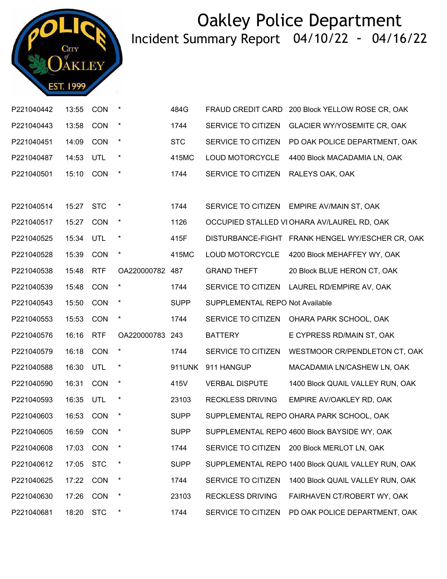

| P221040442 | 13:55     | CON        | $\ast$          | 484G        | <b>FRAUD CREDIT CARD</b>        | 200 Block YELLOW ROSE CR, OAK                      |
|------------|-----------|------------|-----------------|-------------|---------------------------------|----------------------------------------------------|
| P221040443 | 13:58     | CON        | $\ast$          | 1744        | SERVICE TO CITIZEN              | <b>GLACIER WY/YOSEMITE CR, OAK</b>                 |
| P221040451 | 14:09     | <b>CON</b> | $\star$         | <b>STC</b>  | SERVICE TO CITIZEN              | PD OAK POLICE DEPARTMENT, OAK                      |
| P221040487 | 14:53     | UTL        | $\star$         | 415MC       | LOUD MOTORCYCLE                 | 4400 Block MACADAMIA LN, OAK                       |
| P221040501 | 15:10     | <b>CON</b> | $\star$         | 1744        | SERVICE TO CITIZEN              | RALEYS OAK, OAK                                    |
|            |           |            |                 |             |                                 |                                                    |
| P221040514 | 15:27     | <b>STC</b> | $\star$         | 1744        | SERVICE TO CITIZEN              | EMPIRE AV/MAIN ST, OAK                             |
| P221040517 | 15:27     | CON        | $\star$         | 1126        |                                 | OCCUPIED STALLED VI OHARA AV/LAUREL RD, OAK        |
| P221040525 | 15:34     | UTL        | $\star$         | 415F        |                                 | DISTURBANCE-FIGHT FRANK HENGEL WY/ESCHER CR, OAK   |
| P221040528 | 15:39     | CON        | $\star$         | 415MC       | LOUD MOTORCYCLE                 | 4200 Block MEHAFFEY WY, OAK                        |
| P221040538 | 15:48     | <b>RTF</b> | OA220000782 487 |             | <b>GRAND THEFT</b>              | 20 Block BLUE HERON CT, OAK                        |
| P221040539 | 15:48     | <b>CON</b> | $\ast$          | 1744        | SERVICE TO CITIZEN              | LAUREL RD/EMPIRE AV, OAK                           |
| P221040543 | 15:50     | <b>CON</b> | $\star$         | <b>SUPP</b> | SUPPLEMENTAL REPO Not Available |                                                    |
| P221040553 | 15:53     | CON        | $\star$         | 1744        | SERVICE TO CITIZEN              | OHARA PARK SCHOOL, OAK                             |
| P221040576 | 16:16     | <b>RTF</b> | OA220000783 243 |             | <b>BATTERY</b>                  | E CYPRESS RD/MAIN ST, OAK                          |
| P221040579 | 16:18     | <b>CON</b> | $\star$         | 1744        | SERVICE TO CITIZEN              | WESTMOOR CR/PENDLETON CT, OAK                      |
| P221040588 | 16:30     | <b>UTL</b> | $\star$         | 911UNK      | 911 HANGUP                      | MACADAMIA LN/CASHEW LN, OAK                        |
| P221040590 | 16:31     | <b>CON</b> | $\star$         | 415V        | <b>VERBAL DISPUTE</b>           | 1400 Block QUAIL VALLEY RUN, OAK                   |
| P221040593 | 16:35     | UTL        | $\star$         | 23103       | <b>RECKLESS DRIVING</b>         | EMPIRE AV/OAKLEY RD, OAK                           |
| P221040603 | 16:53     | <b>CON</b> | $\star$         | <b>SUPP</b> |                                 | SUPPLEMENTAL REPO OHARA PARK SCHOOL, OAK           |
| P221040605 | 16:59 CON |            | $\star$         | <b>SUPP</b> |                                 | SUPPLEMENTAL REPO 4600 Block BAYSIDE WY, OAK       |
| P221040608 | 17:03     | <b>CON</b> |                 | 1744        | SERVICE TO CITIZEN              | 200 Block MERLOT LN, OAK                           |
| P221040612 | 17:05     | <b>STC</b> | $\star$         | <b>SUPP</b> |                                 | SUPPLEMENTAL REPO 1400 Block QUAIL VALLEY RUN, OAK |
| P221040625 | 17:22     | <b>CON</b> | $\ast$          | 1744        | SERVICE TO CITIZEN              | 1400 Block QUAIL VALLEY RUN, OAK                   |
| P221040630 | 17:26     | CON        | $\ast$          | 23103       | <b>RECKLESS DRIVING</b>         | FAIRHAVEN CT/ROBERT WY, OAK                        |
| P221040681 | 18:20     | <b>STC</b> | $\star$         | 1744        | SERVICE TO CITIZEN              | PD OAK POLICE DEPARTMENT, OAK                      |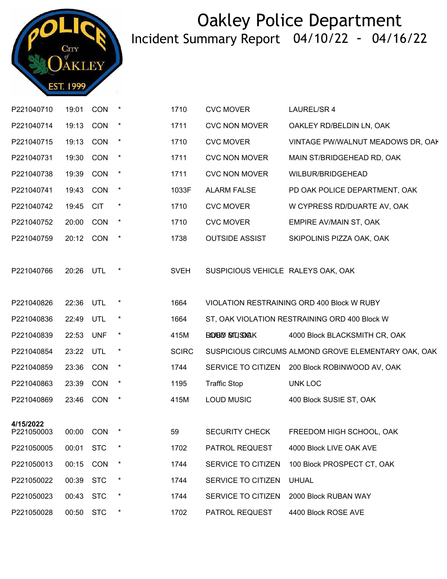

| P221040710 | 19:01     | CON        | $\star$    | 1710         | <b>CVC MOVER</b>                   | LAUREL/SR 4                                         |
|------------|-----------|------------|------------|--------------|------------------------------------|-----------------------------------------------------|
| P221040714 | 19:13     | CON        | $^{\star}$ | 1711         | <b>CVC NON MOVER</b>               | OAKLEY RD/BELDIN LN, OAK                            |
| P221040715 | 19:13     | CON        | $\star$    | 1710         | <b>CVC MOVER</b>                   | VINTAGE PW/WALNUT MEADOWS DR, OAK                   |
| P221040731 | 19:30     | CON        | $\star$    | 1711         | <b>CVC NON MOVER</b>               | MAIN ST/BRIDGEHEAD RD, OAK                          |
| P221040738 | 19:39     | CON        | $\star$    | 1711         | <b>CVC NON MOVER</b>               | WILBUR/BRIDGEHEAD                                   |
| P221040741 | 19:43     | <b>CON</b> | $\star$    | 1033F        | <b>ALARM FALSE</b>                 | PD OAK POLICE DEPARTMENT, OAK                       |
| P221040742 | 19:45     | <b>CIT</b> | $\ast$     | 1710         | <b>CVC MOVER</b>                   | W CYPRESS RD/DUARTE AV, OAK                         |
| P221040752 | 20:00     | <b>CON</b> | $\star$    | 1710         | <b>CVC MOVER</b>                   | EMPIRE AV/MAIN ST, OAK                              |
| P221040759 | 20:12     | <b>CON</b> | $\star$    | 1738         | <b>OUTSIDE ASSIST</b>              | SKIPOLINIS PIZZA OAK, OAK                           |
| P221040766 | 20:26     | UTL        | $\ast$     | <b>SVEH</b>  | SUSPICIOUS VEHICLE RALEYS OAK, OAK |                                                     |
|            |           |            |            |              |                                    |                                                     |
| P221040826 | 22:36     | UTL        | $\ast$     | 1664         |                                    | VIOLATION RESTRAINING ORD 400 Block W RUBY          |
| P221040836 | 22:49     | UTL        | $\star$    | 1664         |                                    | ST, OAK VIOLATION RESTRAINING ORD 400 Block W       |
| P221040839 | 22:53     | <b>UNF</b> | $\star$    | 415M         | ROBD STUSDAK                       | 4000 Block BLACKSMITH CR, OAK                       |
| P221040854 | 23:22     | UTL        | $\ast$     | <b>SCIRC</b> |                                    | SUSPICIOUS CIRCUMS ALMOND GROVE ELEMENTARY OAK, OAK |
| P221040859 | 23:36     | CON        | $\ast$     | 1744         | SERVICE TO CITIZEN                 | 200 Block ROBINWOOD AV, OAK                         |
| P221040863 | 23:39     | CON        | $\star$    | 1195         | <b>Traffic Stop</b>                | UNK LOC                                             |
| P221040869 | 23:46     | <b>CON</b> | $\ast$     | 415M         | <b>LOUD MUSIC</b>                  | 400 Block SUSIE ST, OAK                             |
| 4/15/2022  |           |            |            |              |                                    |                                                     |
| P221050003 | 00:00 CON |            |            | 59           | <b>SECURITY CHECK</b>              | FREEDOM HIGH SCHOOL, OAK                            |
| P221050005 | 00:01     | <b>STC</b> |            | 1702         | PATROL REQUEST                     | 4000 Block LIVE OAK AVE                             |
| P221050013 | 00:15     | <b>CON</b> | $\star$    | 1744         | SERVICE TO CITIZEN                 | 100 Block PROSPECT CT, OAK                          |
| P221050022 | 00:39     | <b>STC</b> | $\ast$     | 1744         | SERVICE TO CITIZEN                 | <b>UHUAL</b>                                        |
| P221050023 | 00:43     | <b>STC</b> |            | 1744         | SERVICE TO CITIZEN                 | 2000 Block RUBAN WAY                                |
| P221050028 | 00:50 STC |            | $\ast$     | 1702         | PATROL REQUEST                     | 4400 Block ROSE AVE                                 |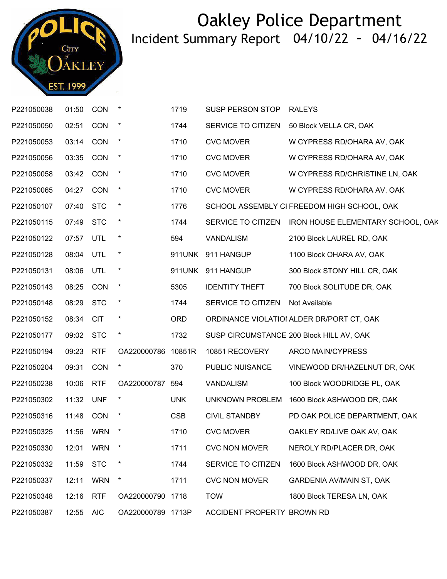

| P221050038 | 01:50     | <b>CON</b> | $\star$            | 1719       | SUSP PERSON STOP           | <b>RALEYS</b>                               |
|------------|-----------|------------|--------------------|------------|----------------------------|---------------------------------------------|
| P221050050 | 02:51     | <b>CON</b> | $\ast$             | 1744       | SERVICE TO CITIZEN         | 50 Block VELLA CR, OAK                      |
| P221050053 | 03:14     | <b>CON</b> | $\star$            | 1710       | <b>CVC MOVER</b>           | W CYPRESS RD/OHARA AV, OAK                  |
| P221050056 | 03:35     | <b>CON</b> | $\star$            | 1710       | <b>CVC MOVER</b>           | W CYPRESS RD/OHARA AV, OAK                  |
| P221050058 | 03:42 CON |            | $\star$            | 1710       | <b>CVC MOVER</b>           | W CYPRESS RD/CHRISTINE LN, OAK              |
| P221050065 | 04:27     | CON        | $\star$            | 1710       | <b>CVC MOVER</b>           | W CYPRESS RD/OHARA AV, OAK                  |
| P221050107 | 07:40     | <b>STC</b> | $\star$            | 1776       |                            | SCHOOL ASSEMBLY CI FREEDOM HIGH SCHOOL, OAK |
| P221050115 | 07:49     | <b>STC</b> | $\star$            | 1744       | SERVICE TO CITIZEN         | IRON HOUSE ELEMENTARY SCHOOL, OAK           |
| P221050122 | 07:57     | UTL        | $\star$            | 594        | <b>VANDALISM</b>           | 2100 Block LAUREL RD, OAK                   |
| P221050128 | 08:04     | UTL        | $\star$            | 911UNK     | 911 HANGUP                 | 1100 Block OHARA AV, OAK                    |
| P221050131 | 08:06     | UTL        | $\star$            |            | 911UNK 911 HANGUP          | 300 Block STONY HILL CR, OAK                |
| P221050143 | 08:25     | CON        | $\star$            | 5305       | <b>IDENTITY THEFT</b>      | 700 Block SOLITUDE DR, OAK                  |
| P221050148 | 08:29     | <b>STC</b> | $\star$            | 1744       | SERVICE TO CITIZEN         | Not Available                               |
| P221050152 | 08:34     | <b>CIT</b> | $\ast$             | <b>ORD</b> |                            | ORDINANCE VIOLATIOI ALDER DR/PORT CT, OAK   |
| P221050177 | 09:02     | <b>STC</b> | $\star$            | 1732       |                            | SUSP CIRCUMSTANCE 200 Block HILL AV, OAK    |
| P221050194 | 09:23     | <b>RTF</b> | OA220000786 10851R |            | 10851 RECOVERY             | ARCO MAIN/CYPRESS                           |
| P221050204 | 09:31     | CON        | $\star$            | 370        | PUBLIC NUISANCE            | VINEWOOD DR/HAZELNUT DR, OAK                |
| P221050238 | 10:06     | <b>RTF</b> | OA220000787 594    |            | <b>VANDALISM</b>           | 100 Block WOODRIDGE PL, OAK                 |
| P221050302 | 11:32     | <b>UNF</b> | $\star$            | <b>UNK</b> | UNKNOWN PROBLEM            | 1600 Block ASHWOOD DR, OAK                  |
| P221050316 | 11:48     | <b>CON</b> | $\ast$             | <b>CSB</b> | <b>CIVIL STANDBY</b>       | PD OAK POLICE DEPARTMENT, OAK               |
| P221050325 | 11:56     | <b>WRN</b> | $\ast$             | 1710       | <b>CVC MOVER</b>           | OAKLEY RD/LIVE OAK AV, OAK                  |
| P221050330 | 12:01     | <b>WRN</b> | ×                  | 1711       | <b>CVC NON MOVER</b>       | NEROLY RD/PLACER DR, OAK                    |
| P221050332 | 11:59     | <b>STC</b> | $\ast$             | 1744       | SERVICE TO CITIZEN         | 1600 Block ASHWOOD DR, OAK                  |
| P221050337 | 12:11     | <b>WRN</b> | $\star$            | 1711       | <b>CVC NON MOVER</b>       | <b>GARDENIA AV/MAIN ST, OAK</b>             |
| P221050348 | 12:16     | <b>RTF</b> | OA220000790 1718   |            | <b>TOW</b>                 | 1800 Block TERESA LN, OAK                   |
| P221050387 | 12:55     | <b>AIC</b> | OA220000789 1713P  |            | ACCIDENT PROPERTY BROWN RD |                                             |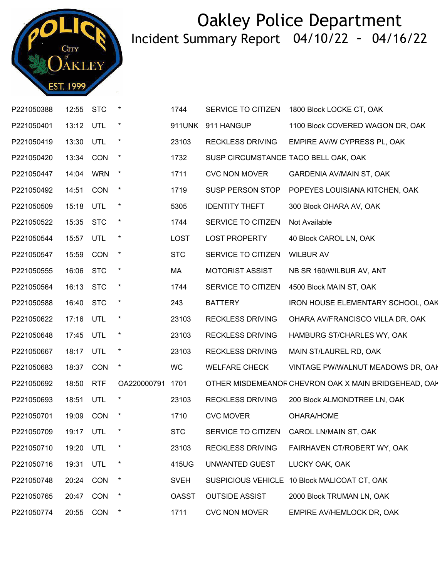

| P221050388 | 12:55     | <b>STC</b> | $\star$     | 1744         | SERVICE TO CITIZEN        | 1800 Block LOCKE CT, OAK                             |
|------------|-----------|------------|-------------|--------------|---------------------------|------------------------------------------------------|
| P221050401 | 13:12     | UTL        |             | 911UNK       | 911 HANGUP                | 1100 Block COVERED WAGON DR, OAK                     |
| P221050419 | 13:30 UTL |            | $\star$     | 23103        | <b>RECKLESS DRIVING</b>   | EMPIRE AV/W CYPRESS PL, OAK                          |
| P221050420 | 13:34     | <b>CON</b> | $\star$     | 1732         |                           | SUSP CIRCUMSTANCE TACO BELL OAK, OAK                 |
| P221050447 | 14:04     | <b>WRN</b> | $\star$     | 1711         | <b>CVC NON MOVER</b>      | <b>GARDENIA AV/MAIN ST, OAK</b>                      |
| P221050492 | 14:51     | <b>CON</b> | $\star$     | 1719         | SUSP PERSON STOP          | POPEYES LOUISIANA KITCHEN, OAK                       |
| P221050509 | 15:18     | UTL        | $\star$     | 5305         | <b>IDENTITY THEFT</b>     | 300 Block OHARA AV, OAK                              |
| P221050522 | 15:35     | <b>STC</b> | $\star$     | 1744         | SERVICE TO CITIZEN        | Not Available                                        |
| P221050544 | 15:57     | UTL        | $\ast$      | <b>LOST</b>  | <b>LOST PROPERTY</b>      | 40 Block CAROL LN, OAK                               |
| P221050547 | 15:59     | CON        | $\star$     | <b>STC</b>   | SERVICE TO CITIZEN        | <b>WILBUR AV</b>                                     |
| P221050555 | 16:06     | <b>STC</b> | $\star$     | MA           | <b>MOTORIST ASSIST</b>    | NB SR 160/WILBUR AV, ANT                             |
| P221050564 | 16:13     | <b>STC</b> | $\star$     | 1744         | SERVICE TO CITIZEN        | 4500 Block MAIN ST, OAK                              |
| P221050588 | 16:40     | <b>STC</b> | $\star$     | 243          | <b>BATTERY</b>            | IRON HOUSE ELEMENTARY SCHOOL, OAK                    |
| P221050622 | 17:16     | UTL        | $\star$     | 23103        | <b>RECKLESS DRIVING</b>   | OHARA AV/FRANCISCO VILLA DR, OAK                     |
| P221050648 | 17:45     | UTL        | $\ast$      | 23103        | <b>RECKLESS DRIVING</b>   | HAMBURG ST/CHARLES WY, OAK                           |
| P221050667 | 18:17     | UTL        | $\star$     | 23103        | <b>RECKLESS DRIVING</b>   | MAIN ST/LAUREL RD, OAK                               |
| P221050683 | 18:37     | <b>CON</b> | $\star$     | WC           | <b>WELFARE CHECK</b>      | VINTAGE PW/WALNUT MEADOWS DR, OAK                    |
| P221050692 | 18:50     | <b>RTF</b> | OA220000791 | 1701         |                           | OTHER MISDEMEANOF CHEVRON OAK X MAIN BRIDGEHEAD, OAK |
| P221050693 | 18:51     | UTL        | $\ast$      | 23103        | <b>RECKLESS DRIVING</b>   | 200 Block ALMONDTREE LN, OAK                         |
| P221050701 | 19:09     | <b>CON</b> | $\ast$      | 1710         | <b>CVC MOVER</b>          | OHARA/HOME                                           |
| P221050709 | 19:17 UTL |            | $\star$     | <b>STC</b>   |                           | SERVICE TO CITIZEN CAROL LN/MAIN ST, OAK             |
| P221050710 | 19:20     | UTL        |             | 23103        | <b>RECKLESS DRIVING</b>   | FAIRHAVEN CT/ROBERT WY, OAK                          |
| P221050716 | 19:31     | UTL        | $\ast$      | 415UG        | UNWANTED GUEST            | LUCKY OAK, OAK                                       |
| P221050748 | 20:24     | CON        | $\ast$      | <b>SVEH</b>  | <b>SUSPICIOUS VEHICLE</b> | 10 Block MALICOAT CT, OAK                            |
| P221050765 | 20:47     | CON        |             | <b>OASST</b> | <b>OUTSIDE ASSIST</b>     | 2000 Block TRUMAN LN, OAK                            |
| P221050774 | 20:55     | <b>CON</b> | $\ast$      | 1711         | <b>CVC NON MOVER</b>      | EMPIRE AV/HEMLOCK DR, OAK                            |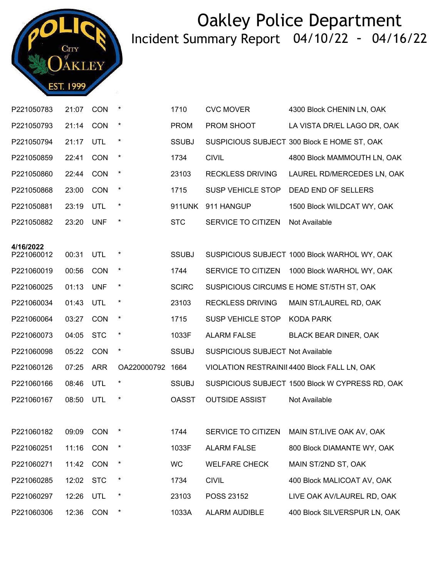

| P221050783              | 21:07 | <b>CON</b> |             | 1710         | <b>CVC MOVER</b>                        | 4300 Block CHENIN LN, OAK                       |
|-------------------------|-------|------------|-------------|--------------|-----------------------------------------|-------------------------------------------------|
| P221050793              | 21:14 | CON        | $\ast$      | <b>PROM</b>  | PROM SHOOT                              | LA VISTA DR/EL LAGO DR, OAK                     |
| P221050794              | 21:17 | UTL        | $\ast$      | <b>SSUBJ</b> |                                         | SUSPICIOUS SUBJECT 300 Block E HOME ST, OAK     |
| P221050859              | 22:41 | <b>CON</b> | $\star$     | 1734         | <b>CIVIL</b>                            | 4800 Block MAMMOUTH LN, OAK                     |
| P221050860              | 22:44 | <b>CON</b> | $\star$     | 23103        | <b>RECKLESS DRIVING</b>                 | LAUREL RD/MERCEDES LN, OAK                      |
| P221050868              | 23:00 | CON        | $\star$     | 1715         | <b>SUSP VEHICLE STOP</b>                | <b>DEAD END OF SELLERS</b>                      |
| P221050881              | 23:19 | UTL        | $\star$     | 911UNK       | 911 HANGUP                              | 1500 Block WILDCAT WY, OAK                      |
| P221050882              | 23:20 | <b>UNF</b> | $\star$     | <b>STC</b>   | SERVICE TO CITIZEN                      | Not Available                                   |
|                         |       |            |             |              |                                         |                                                 |
| 4/16/2022<br>P221060012 | 00:31 | <b>UTL</b> | $\ast$      | <b>SSUBJ</b> |                                         | SUSPICIOUS SUBJECT 1000 Block WARHOL WY, OAK    |
| P221060019              | 00:56 | <b>CON</b> | $\star$     | 1744         | SERVICE TO CITIZEN                      | 1000 Block WARHOL WY, OAK                       |
| P221060025              | 01:13 | <b>UNF</b> | $\ast$      | <b>SCIRC</b> |                                         | SUSPICIOUS CIRCUMS E HOME ST/5TH ST, OAK        |
| P221060034              | 01:43 | <b>UTL</b> | $\star$     | 23103        | <b>RECKLESS DRIVING</b>                 | MAIN ST/LAUREL RD, OAK                          |
| P221060064              | 03:27 | <b>CON</b> | $\star$     | 1715         | <b>SUSP VEHICLE STOP</b>                | <b>KODA PARK</b>                                |
| P221060073              | 04:05 | <b>STC</b> | $\ast$      | 1033F        | <b>ALARM FALSE</b>                      | BLACK BEAR DINER, OAK                           |
| P221060098              | 05:22 | CON        | $\ast$      | <b>SSUBJ</b> | <b>SUSPICIOUS SUBJECT Not Available</b> |                                                 |
| P221060126              | 07:25 | <b>ARR</b> | OA220000792 | 1664         |                                         | VIOLATION RESTRAINII 4400 Block FALL LN, OAK    |
| P221060166              | 08:46 | UTL        | $\ast$      | <b>SSUBJ</b> |                                         | SUSPICIOUS SUBJECT 1500 Block W CYPRESS RD, OAK |
| P221060167              | 08:50 | <b>UTL</b> |             | <b>OASST</b> | <b>OUTSIDE ASSIST</b>                   | Not Available                                   |
|                         |       |            |             |              |                                         |                                                 |
| P221060182              |       | 09:09 CON  | *           | 1744         |                                         | SERVICE TO CITIZEN MAIN ST/LIVE OAK AV, OAK     |
| P221060251              | 11:16 | CON        |             | 1033F        | <b>ALARM FALSE</b>                      | 800 Block DIAMANTE WY, OAK                      |
| P221060271              | 11:42 | CON        | $\star$     | <b>WC</b>    | <b>WELFARE CHECK</b>                    | MAIN ST/2ND ST, OAK                             |
| P221060285              | 12:02 | <b>STC</b> | $\ast$      | 1734         | <b>CIVIL</b>                            | 400 Block MALICOAT AV, OAK                      |
| P221060297              | 12:26 | <b>UTL</b> | $\ast$      | 23103        | POSS 23152                              | LIVE OAK AV/LAUREL RD, OAK                      |
| P221060306              | 12:36 | CON        | $\ast$      | 1033A        | <b>ALARM AUDIBLE</b>                    | 400 Block SILVERSPUR LN, OAK                    |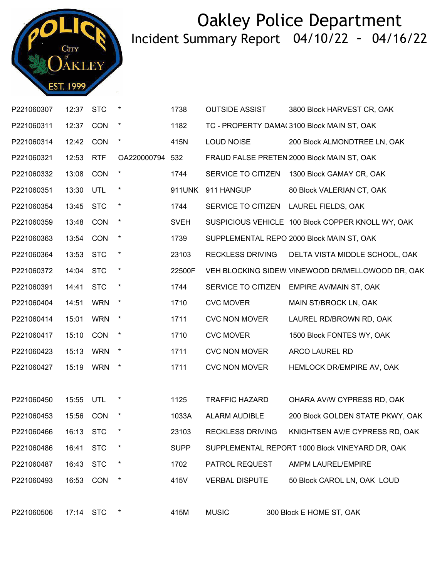

| P221060307 | 12:37     | <b>STC</b> | *               | 1738        | <b>OUTSIDE ASSIST</b>   | 3800 Block HARVEST CR, OAK                        |
|------------|-----------|------------|-----------------|-------------|-------------------------|---------------------------------------------------|
| P221060311 | 12:37     | <b>CON</b> | $\star$         | 1182        |                         | TC - PROPERTY DAMA(3100 Block MAIN ST, OAK        |
| P221060314 | 12:42     | <b>CON</b> | $\star$         | 415N        | <b>LOUD NOISE</b>       | 200 Block ALMONDTREE LN, OAK                      |
| P221060321 | 12:53     | <b>RTF</b> | OA220000794 532 |             |                         | FRAUD FALSE PRETEN 2000 Block MAIN ST, OAK        |
| P221060332 | 13:08     | CON        | $\star$         | 1744        | SERVICE TO CITIZEN      | 1300 Block GAMAY CR, OAK                          |
| P221060351 | 13:30     | UTL        | $\star$         | 911UNK      | 911 HANGUP              | 80 Block VALERIAN CT, OAK                         |
| P221060354 | 13:45     | <b>STC</b> | $\star$         | 1744        | SERVICE TO CITIZEN      | LAUREL FIELDS, OAK                                |
| P221060359 | 13:48     | <b>CON</b> | $\star$         | <b>SVEH</b> |                         | SUSPICIOUS VEHICLE 100 Block COPPER KNOLL WY, OAK |
| P221060363 | 13:54     | CON        | $\star$         | 1739        |                         | SUPPLEMENTAL REPO 2000 Block MAIN ST, OAK         |
| P221060364 | 13:53     | <b>STC</b> | $\star$         | 23103       | <b>RECKLESS DRIVING</b> | DELTA VISTA MIDDLE SCHOOL, OAK                    |
| P221060372 | 14:04     | <b>STC</b> | $\star$         | 22500F      |                         | VEH BLOCKING SIDEW. VINEWOOD DR/MELLOWOOD DR, OAK |
| P221060391 | 14:41     | <b>STC</b> | $\star$         | 1744        | SERVICE TO CITIZEN      | EMPIRE AV/MAIN ST, OAK                            |
| P221060404 | 14:51     | <b>WRN</b> | $\star$         | 1710        | <b>CVC MOVER</b>        | MAIN ST/BROCK LN, OAK                             |
| P221060414 | 15:01     | <b>WRN</b> | $\star$         | 1711        | <b>CVC NON MOVER</b>    | LAUREL RD/BROWN RD, OAK                           |
| P221060417 | 15:10     | <b>CON</b> | $\star$         | 1710        | <b>CVC MOVER</b>        | 1500 Block FONTES WY, OAK                         |
| P221060423 | 15:13     | <b>WRN</b> | $\ast$          | 1711        | <b>CVC NON MOVER</b>    | <b>ARCO LAUREL RD</b>                             |
| P221060427 | 15:19     | <b>WRN</b> | $\star$         | 1711        | <b>CVC NON MOVER</b>    | HEMLOCK DR/EMPIRE AV, OAK                         |
|            |           |            |                 |             |                         |                                                   |
| P221060450 | 15:55     | UTL        | $\ast$          | 1125        | <b>TRAFFIC HAZARD</b>   | OHARA AV/W CYPRESS RD, OAK                        |
| P221060453 | 15:56     | <b>CON</b> | $\star$         | 1033A       | <b>ALARM AUDIBLE</b>    | 200 Block GOLDEN STATE PKWY, OAK                  |
| P221060466 | 16:13 STC |            | $^\star$        | 23103       | <b>RECKLESS DRIVING</b> | KNIGHTSEN AV/E CYPRESS RD, OAK                    |
| P221060486 | 16:41     | <b>STC</b> | $\star$         | <b>SUPP</b> |                         | SUPPLEMENTAL REPORT 1000 Block VINEYARD DR, OAK   |
| P221060487 | 16:43     | <b>STC</b> | $\ast$          | 1702        | PATROL REQUEST          | AMPM LAUREL/EMPIRE                                |
| P221060493 | 16:53     | <b>CON</b> | $\star$         | 415V        | <b>VERBAL DISPUTE</b>   | 50 Block CAROL LN, OAK LOUD                       |
|            |           |            |                 |             |                         |                                                   |
| P221060506 | 17:14 STC |            |                 | 415M        | <b>MUSIC</b>            | 300 Block E HOME ST, OAK                          |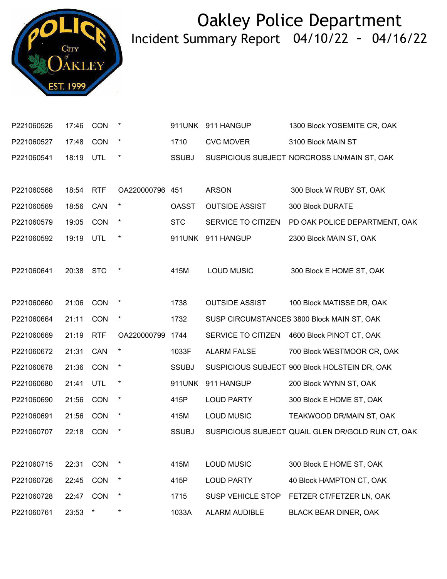

| P221060526 | 17:46 | <b>CON</b> | $\ast$          | 911UNK       | 911 HANGUP               | 1300 Block YOSEMITE CR, OAK                       |
|------------|-------|------------|-----------------|--------------|--------------------------|---------------------------------------------------|
| P221060527 | 17:48 | <b>CON</b> | $\ast$          | 1710         | <b>CVC MOVER</b>         | 3100 Block MAIN ST                                |
| P221060541 | 18:19 | UTL        | $\star$         | <b>SSUBJ</b> |                          | SUSPICIOUS SUBJECT NORCROSS LN/MAIN ST, OAK       |
|            |       |            |                 |              |                          |                                                   |
| P221060568 | 18:54 | <b>RTF</b> | OA220000796 451 |              | <b>ARSON</b>             | 300 Block W RUBY ST, OAK                          |
| P221060569 | 18:56 | CAN        | $\star$         | <b>OASST</b> | <b>OUTSIDE ASSIST</b>    | 300 Block DURATE                                  |
| P221060579 | 19:05 | CON        | $^{\star}$      | <b>STC</b>   | SERVICE TO CITIZEN       | PD OAK POLICE DEPARTMENT, OAK                     |
| P221060592 | 19:19 | UTL        | $^{\star}$      | 911UNK       | 911 HANGUP               | 2300 Block MAIN ST, OAK                           |
|            |       |            |                 |              |                          |                                                   |
| P221060641 | 20:38 | <b>STC</b> | $\ast$          | 415M         | <b>LOUD MUSIC</b>        | 300 Block E HOME ST, OAK                          |
|            |       |            |                 |              |                          |                                                   |
| P221060660 | 21:06 | CON        | $\ast$          | 1738         | <b>OUTSIDE ASSIST</b>    | 100 Block MATISSE DR, OAK                         |
| P221060664 | 21:11 | CON        | $\ast$          | 1732         |                          | SUSP CIRCUMSTANCES 3800 Block MAIN ST, OAK        |
| P221060669 | 21:19 | <b>RTF</b> | OA220000799     | 1744         | SERVICE TO CITIZEN       | 4600 Block PINOT CT, OAK                          |
| P221060672 | 21:31 | CAN        | $\star$         | 1033F        | <b>ALARM FALSE</b>       | 700 Block WESTMOOR CR, OAK                        |
| P221060678 | 21:36 | CON        | $\ast$          | <b>SSUBJ</b> |                          | SUSPICIOUS SUBJECT 900 Block HOLSTEIN DR, OAK     |
| P221060680 | 21:41 | UTL        | $\ast$          | 911UNK       | 911 HANGUP               | 200 Block WYNN ST, OAK                            |
| P221060690 | 21:56 | CON        | $\star$         | 415P         | <b>LOUD PARTY</b>        | 300 Block E HOME ST, OAK                          |
| P221060691 | 21:56 | CON        | $\ast$          | 415M         | <b>LOUD MUSIC</b>        | TEAKWOOD DR/MAIN ST, OAK                          |
| P221060707 | 22:18 | CON        | $\ast$          | <b>SSUBJ</b> |                          | SUSPICIOUS SUBJECT QUAIL GLEN DR/GOLD RUN CT, OAK |
|            |       |            |                 |              |                          |                                                   |
| P221060715 | 22:31 | <b>CON</b> | *               | 415M         | <b>LOUD MUSIC</b>        | 300 Block E HOME ST, OAK                          |
| P221060726 | 22:45 | CON        | $\ast$          | 415P         | <b>LOUD PARTY</b>        | 40 Block HAMPTON CT, OAK                          |
| P221060728 | 22:47 | CON        | $\ast$          | 1715         | <b>SUSP VEHICLE STOP</b> | FETZER CT/FETZER LN, OAK                          |
| P221060761 | 23:53 | $\star$    | $\star$         | 1033A        | ALARM AUDIBLE            | BLACK BEAR DINER, OAK                             |